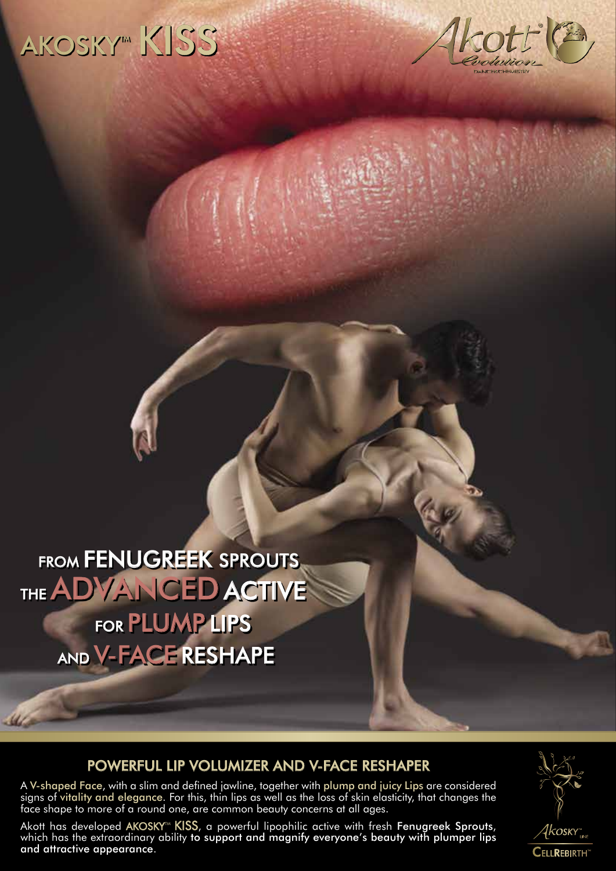# AKOSKY<sup>m</sup> KISS



FROM **FENUGREEK** SPROUTS THE ADVANCED ACTIVE FOR PLUMP LIPS AND V-FACERESHAPE

**Marine** 

#### POWERFUL LIP VOLUMIZER AND V-FACE RESHAPER

A V-shaped Face, with a slim and defined jawline, together with plump and juicy Lips are considered signs of vitality and elegance. For this, thin lips as well as the loss of skin elasticity, that changes the face shape to more of a round one, are common beauty concerns at all ages.

Akott has developed AKOSKY™  $KISS$ , a powerful lipophilic active with fresh Fenugreek Sprouts, which has the extraordinary ability to support and magnify everyone's beauty with plumper lips and attractive appearance.